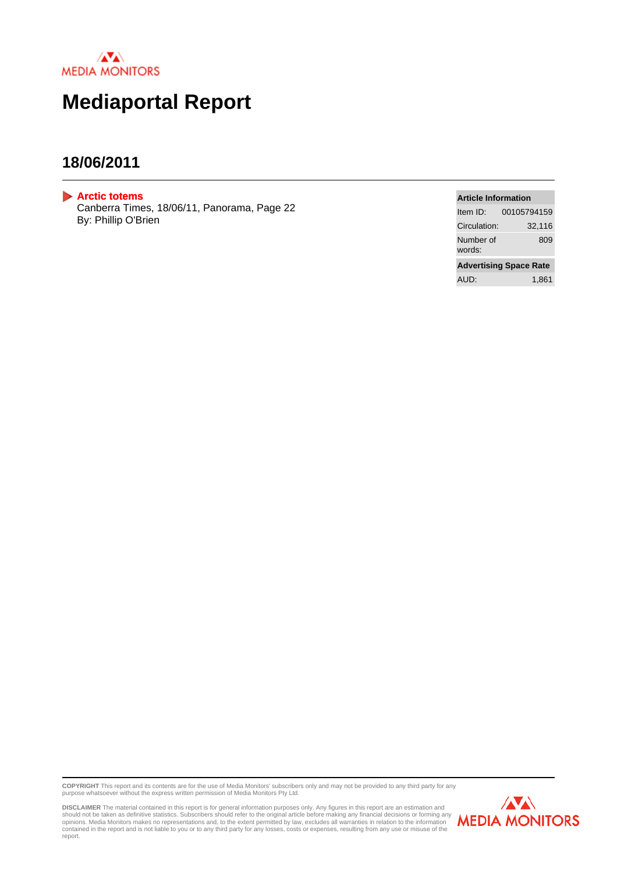

# **Mediaportal Report**

## **18/06/2011**

<span id="page-0-0"></span>**[Arctic totems](#page-1-0)**

Canberra Times, 18/06/11, Panorama, Page 22 By: Phillip O'Brien

#### **Article Information**

| Item $ID:$                    | 00105794159 |
|-------------------------------|-------------|
| Circulation:                  | 32,116      |
| Number of<br>words:           | 809         |
| <b>Advertising Space Rate</b> |             |
| AUD:                          | 1.861       |

**COPYRIGHT** This report and its contents are for the use of Media Monitors' subscribers only and may not be provided to any third party for any<br>purpose whatsoever without the express written permission of Media Monitors Pt

DISCLAIMER The material contained in this report is for general information purposes only. Any figures in this report are an estimation and<br>should not be taken as definitive statistics. Subscribers should refer to the orig report.

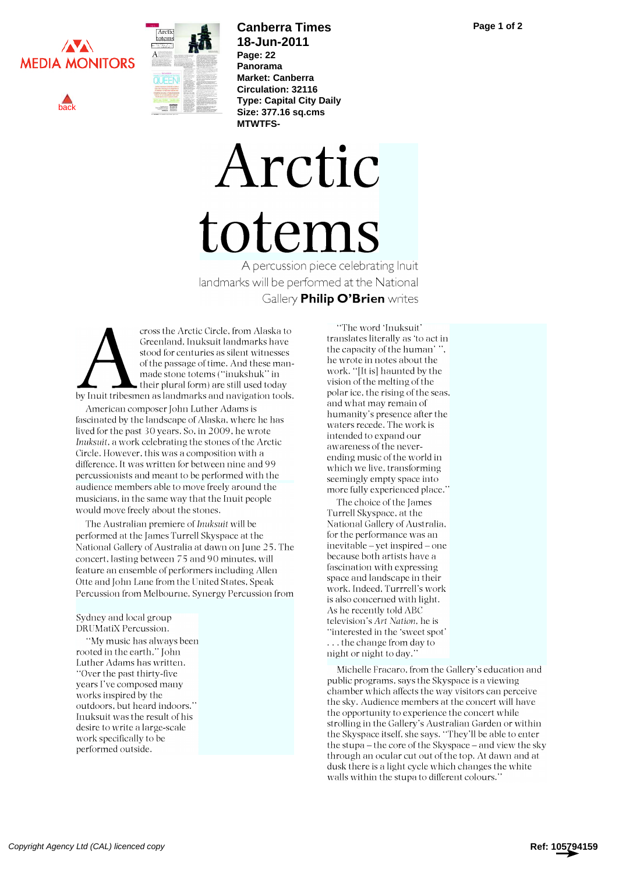<span id="page-1-0"></span>





# **Canberra Times 18-Jun-2011**

**Page: 22 Panorama Market: Canberra Circulation: 32116 Type: Capital City Daily Size: 377.16 sq.cms MTWTFS-**

Arctic totems A percussion piece celebrating Inuit landmarks will be performed at the National

Gallery **Philip O'Brien** writes

made stone totems ("inukshuk" in<br>their plural form) are still used today cross the Arctic Circle, from Alaska to Greenland, Inuksuit landmarks have stood for centuries as silent witnesses of the passage of time. And these mantheir plural form) are still used today by Inuit tribesmen as landmarks and navigation tools.

American composer John Luther Adams is fascinated by the landscape of Alaska, where he has lived for the past 30 years. So, in 2009, he wrote Inuksuit, a work celebrating the stones of the Arctic Circle. However, this was a composition with a difference. It was written for between nine and 99 percussionists and meant to be performed with the audience members able to move freely around the musicians, in the same way that the Inuit people would move freely about the stones.

The Australian premiere of Inuksuit will be performed at the James Turrell Skyspace at the National Gallery of Australia at dawn on June 25. The concert, lasting between 75 and 90 minutes, will feature an ensemble of performers including Allen Otte and John Lane from the United States, Speak Percussion from Melbourne, Synergy Percussion from

#### Sydney and local group DRUMatiX Percussion.

"My music has always been rooted in the earth," John Luther Adams has written. "Over the past thirty-five years I've composed many works inspired by the outdoors, but heard indoors." Inuksuit was the result of his desire to write a large-scale work specifically to be performed outside.

"The word 'Inuksuit' translates literally as 'to act in the capacity of the human' he wrote in notes about the work. "[It is] haunted by the vision of the melting of the polar ice, the rising of the seas, and what may remain of humanity's presence after the waters recede. The work is intended to expand our awareness of the neverending music of the world in which we live, transforming seemingly empty space into more fully experienced place."

The choice of the James Turrell Skyspace, at the National Gallery of Australia, for the performance was an inevitable - yet inspired - one because both artists have a fascination with expressing space and landscape in their work. Indeed, Turrrell's work is also concerned with light. As he recently told ABC television's Art Nation, he is "interested in the 'sweet spot' . . . the change from day to night or night to day."

Michelle Fracaro, from the Gallery's education and public programs, says the Skyspace is a viewing chamber which affects the way visitors can perceive the sky. Audience members at the concert will have the opportunity to experience the concert while strolling in the Gallery's Australian Garden or within the Skyspace itself, she says. "They'll be able to enter the stupa  $-\text{the core of the Skyspace} - \text{and view the sky}$ through an ocular cut out of the top. At dawn and at dusk there is a light cycle which changes the white walls within the stupa to different colours."